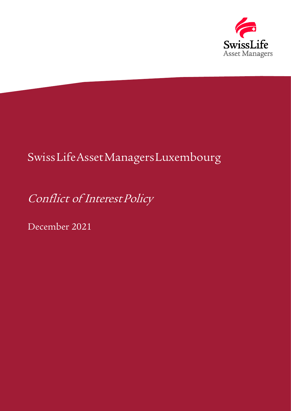

# SwissLifeAsset Managers Luxembourg

Conflict of Interest Policy

December 2021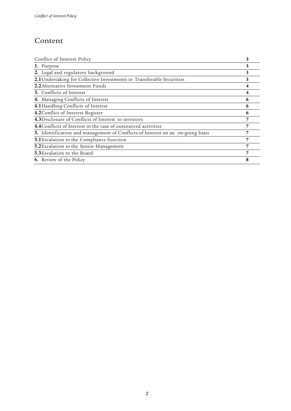## Content

| Conflict of Interest Policy                                                    | 3 |
|--------------------------------------------------------------------------------|---|
| 1. Purpose                                                                     | 3 |
| 2. Legal and regulatory background                                             | 3 |
| 2.1 Undertaking for Collective Investments in Transferable Securities          | 3 |
| 2.2 Alternative Investment Funds                                               |   |
| <b>3.</b> Conflicts of Interest                                                | 4 |
| 4. Managing Conflicts of Interest                                              | 6 |
| 4.1 Handling Conflicts of Interest                                             | 6 |
| 4.2 Conflict of Interest Register                                              | 6 |
| 4.3Disclosure of Conflicts of Interest to investors                            | 7 |
| 4.4 Conflicts of Interest in the case of outsourced activities                 | 7 |
| 5. Identification and management of Conflicts of Interest on an on-going basis | 7 |
| 5.1 Escalation to the Compliance function                                      | 7 |
| 5.2 Escalation to the Senior Management                                        | 7 |
| <b>5.3</b> Escalation to the Board                                             | 7 |
| <b>6.</b> Review of the Policy                                                 | 8 |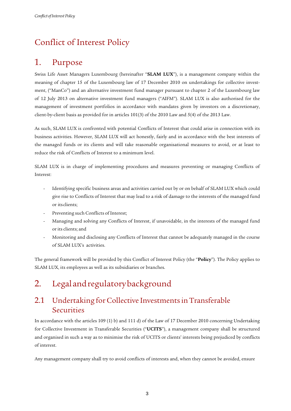# <span id="page-2-0"></span>Conflict of Interest Policy

# <span id="page-2-1"></span>1. Purpose

Swiss Life Asset Managers Luxembourg (hereinafter "**SLAM LUX**"), is a management company within the meaning of chapter 15 of the Luxembourg law of 17 December 2010 on undertakings for collective investment, ("ManCo") and an alternative investment fund manager pursuant to chapter 2 of the Luxembourg law of 12 July 2013 on alternative investment fund managers ("AIFM"). SLAM LUX is also authorised for the management of investment portfolios in accordance with mandates given by investors on a discretionary, client-by-client basis as provided for in articles 101(3) of the 2010 Law and 5(4) of the 2013 Law.

As such, SLAM LUX is confronted with potential Conflicts of Interest that could arise in connection with its business activities. However, SLAM LUX will act honestly, fairly and in accordance with the best interests of the managed funds or its clients and will take reasonable organisational measures to avoid, or at least to reduce the risk of Conflicts of Interest to a minimum level.

SLAM LUX is in charge of implementing procedures and measures preventing or managing Conflicts of Interest:

- Identifying specific business areas and activities carried out by or on behalf of SLAM LUX which could give rise to Conflicts of Interest that may lead to a risk of damage to the interests of the managed fund or itsclients;
- Preventing such Conflicts of Interest;
- Managing and solving any Conflicts of Interest, if unavoidable, in the interests of the managed fund or its clients; and
- Monitoring and disclosing any Conflicts of Interest that cannot be adequately managed in the course of SLAM LUX's activities.

The general framework will be provided by this Conflict of Interest Policy (the "**Policy**"). The Policy applies to SLAM LUX, its employees as well as its subsidiaries or branches.

# <span id="page-2-2"></span>2. Legalandregulatorybackground

## <span id="page-2-3"></span>2.1 Undertaking for Collective Investments in Transferable **Securities**

In accordance with the articles 109 (1) b) and 111 d) of the Law of 17 December 2010 concerning Undertaking for Collective Investment in Transferable Securities ("**UCITS**"), a management company shall be structured and organised in such a way as to minimise the risk of UCITS or clients' interests being prejudiced by conflicts of interest.

Any management company shall try to avoid conflicts of interests and, when they cannot be avoided, ensure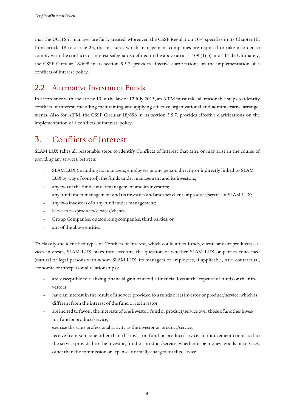that the UCITS it manages are fairly treated. Moreover, the CSSF Regulation 10-4 specifies in its Chapter III, from article 18 to article 23, the measures which management companies are required to take in order to comply with the conflicts of interest safeguards defined in the above articles 109 (1) b) and 111 d). Ultimately, the CSSF Circular 18/698 in its section 5.5.7. provides effective clarifications on the implementation of a conflicts of interest policy.

## <span id="page-3-0"></span>2.2 Alternative Investment Funds

In accordance with the article 13 of the law of 12 July 2013, an AIFM must take all reasonable steps to identify conflicts of interest, including maintaining and applying effective organizational and administrative arrangements. Also for AIFM, the CSSF Circular 18/698 in its section 5.5.7. provides effective clarifications on the implementation of a conflicts of interest policy.

## <span id="page-3-1"></span>3. Conflicts of Interest

SLAM LUX takes all reasonable steps to identify Conflicts of Interest that arise or may arise in the course of providing any services, between:

- SLAM LUX (including its managers, employees or any person directly or indirectly linked to SLAM LUX by way of control), the funds under management and its investors;
- any two of the funds under management and its investors;
- any fund under management and its investors and another client or product/service of SLAM LUX;
- any two investors of a any fund under management;
- between two products/services/clients;
- Group Companies, outsourcing companies, third parties; or
- any of the above entities.

To classify the identified types of Conflicts of Interest, which could affect funds, clients and/or products/services interests, SLAM LUX takes into account, the question of whether SLAM LUX or parties concerned (natural or legal persons with whom SLAM LUX, its managers or employees, if applicable, have contractual, economic or interpersonal relationships):

- are susceptible to realizing financial gain or avoid a financial loss at the expense of funds or their investors;
- have an interest in the result of a service provided to a funds or its investor or product/service, which is different from the interest of the fund or its investor;
- are incited to favour the interests of one investor, fund or product/service over those of another investor,fundorproduct/service;
- exercise the same professional activity as the investor or product/service;
- receive from someone other than the investor, fund or product/service, an inducement connected to the service provided to the investor, fund or product/service, whether it be money, goods or services, other than the commission or expenses normally charged for this service.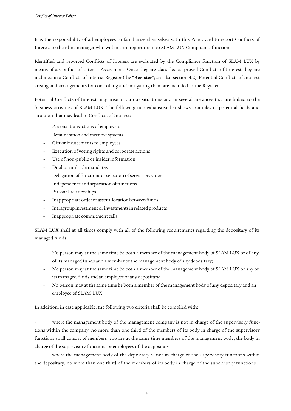It is the responsibility of all employees to familiarize themselves with this Policy and to report Conflicts of Interest to their line manager who will in turn report them to SLAM LUX Compliance function.

Identified and reported Conflicts of Interest are evaluated by the Compliance function of SLAM LUX by means of a Conflict of Interest Assessment. Once they are classified as proved Conflicts of Interest they are included in a Conflicts of Interest Register (the "**Register**"; see also section 4.2). Potential Conflicts of Interest arising and arrangements for controlling and mitigating them are included in the Register.

Potential Conflicts of Interest may arise in various situations and in several instances that are linked to the business activities of SLAM LUX. The following non-exhaustive list shows examples of potential fields and situation that may lead to Conflicts of Interest:

- Personal transactions of employees
- Remuneration and incentive systems
- Gift or inducements to employees
- Execution of voting rights and corporate actions
- Use of non-public or insider information
- Dual or multiple mandates
- Delegation of functions or selection of service providers
- Independence and separation of functions
- Personal relationships
- Inappropriate order or asset allocation between funds
- Intragroup investment or investments in related products
- Inappropriate commitment calls

SLAM LUX shall at all times comply with all of the following requirements regarding the depositary of its managed funds:

- No person may at the same time be both a member of the management body of SLAM LUX or of any of its managed funds and a member of the management body of any depositary;
- No person may at the same time be both a member of the management body of SLAM LUX or any of its managed funds and an employee of any depositary;
- No person may at the same time be both a member of the management body of any depositary and an employee of SLAM LUX.

In addition, in case applicable, the following two criteria shall be complied with:

where the management body of the management company is not in charge of the supervisory functions within the company, no more than one third of the members of its body in charge of the supervisory functions shall consist of members who are at the same time members of the management body, the body in charge of the supervisory functions or employees of the depositary

where the management body of the depositary is not in charge of the supervisory functions within the depositary, no more than one third of the members of its body in charge of the supervisory functions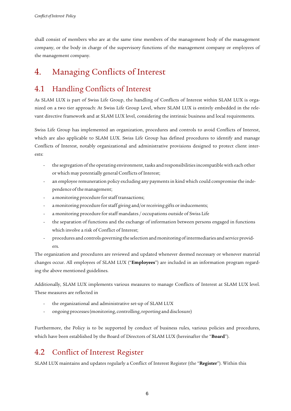shall consist of members who are at the same time members of the management body of the management company, or the body in charge of the supervisory functions of the management company or employees of the management company.

# <span id="page-5-0"></span>4. Managing Conflicts of Interest

## <span id="page-5-1"></span>4.1 Handling Conflicts of Interest

As SLAM LUX is part of Swiss Life Group, the handling of Conflicts of Interest within SLAM LUX is organized on a two tier approach: At Swiss Life Group Level, where SLAM LUX is entirely embedded in the relevant directive framework and at SLAM LUX level, considering the intrinsic business and local requirements.

Swiss Life Group has implemented an organization, procedures and controls to avoid Conflicts of Interest, which are also applicable to SLAM LUX. Swiss Life Group has defined procedures to identify and manage Conflicts of Interest, notably organizational and administrative provisions designed to protect client interests:

- the segregation of the operating environment, tasks and responsibilities incompatible with each other or which may potentially general Conflicts of Interest;
- an employee remuneration policy excluding any payments in kind which could compromise the independence of the management;
- a monitoring procedure for staff transactions;
- a monitoring procedure for staff giving and/or receiving gifts or inducements;
- a monitoring procedure for staff mandates / occupations outside of Swiss Life
- the separation of functions and the exchange of information between persons engaged in functions which involve a risk of Conflict of Interest;
- procedures and controls governing the selection and monitoring ofintermediaries and service providers.

The organization and procedures are reviewed and updated whenever deemed necessary or whenever material changes occur. All employees of SLAM LUX ("**Employees**") are included in an information program regarding the above mentioned guidelines.

Additionally, SLAM LUX implements various measures to manage Conflicts of Interest at SLAM LUX level. These measures are reflected in

- the organizational and administrative set-up of SLAM LUX
- ongoing processes(monitoring, controlling,reporting and disclosure)

Furthermore, the Policy is to be supported by conduct of business rules, various policies and procedures, which have been established by the Board of Directors of SLAM LUX (hereinafter the "**Board**").

## <span id="page-5-2"></span>4.2 Conflict of Interest Register

SLAM LUX maintains and updates regularly a Conflict of Interest Register (the "**Register**"). Within this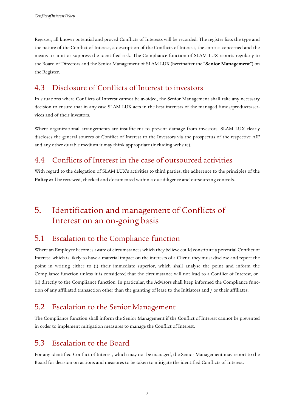Register, all known potential and proved Conflicts of Interests will be recorded. The register lists the type and the nature of the Conflict of Interest, a description of the Conflicts of Interest, the entities concerned and the means to limit or suppress the identified risk. The Compliance function of SLAM LUX reports regularly to the Board of Directors and the Senior Management of SLAM LUX (hereinafter the "**Senior Management**") on the Register.

#### <span id="page-6-0"></span>4.3 Disclosure of Conflicts of Interest to investors

In situations where Conflicts of Interest cannot be avoided, the Senior Management shall take any necessary decision to ensure that in any case SLAM LUX acts in the best interests of the managed funds/products/services and of their investors.

Where organizational arrangements are insufficient to prevent damage from investors, SLAM LUX clearly discloses the general sources of Conflict of Interest to the Investors via the prospectus of the respective AIF and any other durable medium it may think appropriate (including website).

#### <span id="page-6-1"></span>4.4 Conflicts of Interest in the case of outsourced activities

With regard to the delegation of SLAM LUX's activities to third parties, the adherence to the principles of the **Policy**will be reviewed, checked and documented within a due diligence and outsourcing controls.

# <span id="page-6-2"></span>5. Identification and management of Conflicts of Interest on an on-going basis

#### <span id="page-6-3"></span>5.1 Escalation to the Compliance function

Where an Employee becomes aware of circumstances which they believe could constitute a potential Conflict of Interest, which is likely to have a material impact on the interests of a Client, they must disclose and report the point in writing either to (i) their immediate superior, which shall analyse the point and inform the Compliance function unless it is considered that the circumstance will not lead to a Conflict of Interest, or (ii) directly to the Compliance function. In particular, the Advisors shall keep informed the Compliance function of any affiliated transaction other than the granting of lease to the Initiators and / or their affiliates.

### <span id="page-6-4"></span>5.2 Escalation to the Senior Management

The Compliance function shall inform the Senior Management if the Conflict of Interest cannot be prevented in order to implement mitigation measures to manage the Conflict of Interest.

#### <span id="page-6-5"></span>5.3 Escalation to the Board

For any identified Conflict of Interest, which may not be managed, the Senior Management may report to the Board for decision on actions and measures to be taken to mitigate the identified Conflicts of Interest.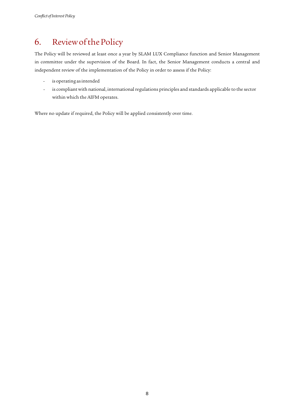# <span id="page-7-0"></span>6. ReviewofthePolicy

The Policy will be reviewed at least once a year by SLAM LUX Compliance function and Senior Management in committee under the supervision of the Board. In fact, the Senior Management conducts a central and independent review of the implementation of the Policy in order to assess if the Policy:

- is operating as intended
- is compliant with national, international regulations principles and standards applicable to the sector within which the AIFM operates.

Where no update if required, the Policy will be applied consistently over time.